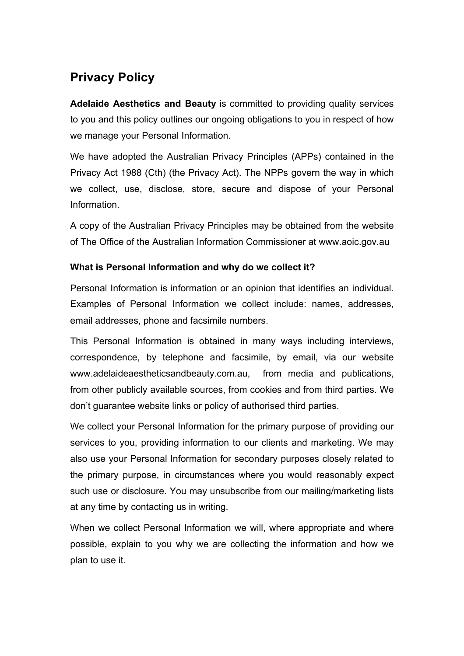# **Privacy Policy**

**Adelaide Aesthetics and Beauty** is committed to providing quality services to you and this policy outlines our ongoing obligations to you in respect of how we manage your Personal Information.

We have adopted the Australian Privacy Principles (APPs) contained in the Privacy Act 1988 (Cth) (the Privacy Act). The NPPs govern the way in which we collect, use, disclose, store, secure and dispose of your Personal Information.

A copy of the Australian Privacy Principles may be obtained from the website of The Office of the Australian Information Commissioner at www.aoic.gov.au

## **What is Personal Information and why do we collect it?**

Personal Information is information or an opinion that identifies an individual. Examples of Personal Information we collect include: names, addresses, email addresses, phone and facsimile numbers.

This Personal Information is obtained in many ways including interviews, correspondence, by telephone and facsimile, by email, via our website www.adelaideaestheticsandbeauty.com.au, from media and publications, from other publicly available sources, from cookies and from third parties. We don't guarantee website links or policy of authorised third parties.

We collect your Personal Information for the primary purpose of providing our services to you, providing information to our clients and marketing. We may also use your Personal Information for secondary purposes closely related to the primary purpose, in circumstances where you would reasonably expect such use or disclosure. You may unsubscribe from our mailing/marketing lists at any time by contacting us in writing.

When we collect Personal Information we will, where appropriate and where possible, explain to you why we are collecting the information and how we plan to use it.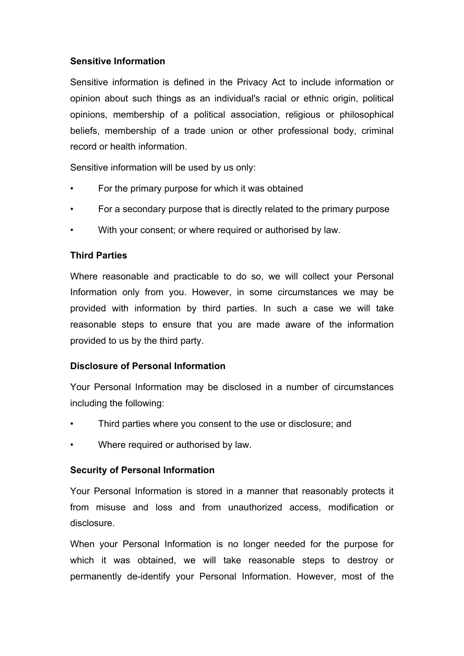#### **Sensitive Information**

Sensitive information is defined in the Privacy Act to include information or opinion about such things as an individual's racial or ethnic origin, political opinions, membership of a political association, religious or philosophical beliefs, membership of a trade union or other professional body, criminal record or health information.

Sensitive information will be used by us only:

- For the primary purpose for which it was obtained
- For a secondary purpose that is directly related to the primary purpose
- With your consent; or where required or authorised by law.

## **Third Parties**

Where reasonable and practicable to do so, we will collect your Personal Information only from you. However, in some circumstances we may be provided with information by third parties. In such a case we will take reasonable steps to ensure that you are made aware of the information provided to us by the third party.

## **Disclosure of Personal Information**

Your Personal Information may be disclosed in a number of circumstances including the following:

- Third parties where you consent to the use or disclosure; and
- Where required or authorised by law.

## **Security of Personal Information**

Your Personal Information is stored in a manner that reasonably protects it from misuse and loss and from unauthorized access, modification or disclosure.

When your Personal Information is no longer needed for the purpose for which it was obtained, we will take reasonable steps to destroy or permanently de-identify your Personal Information. However, most of the